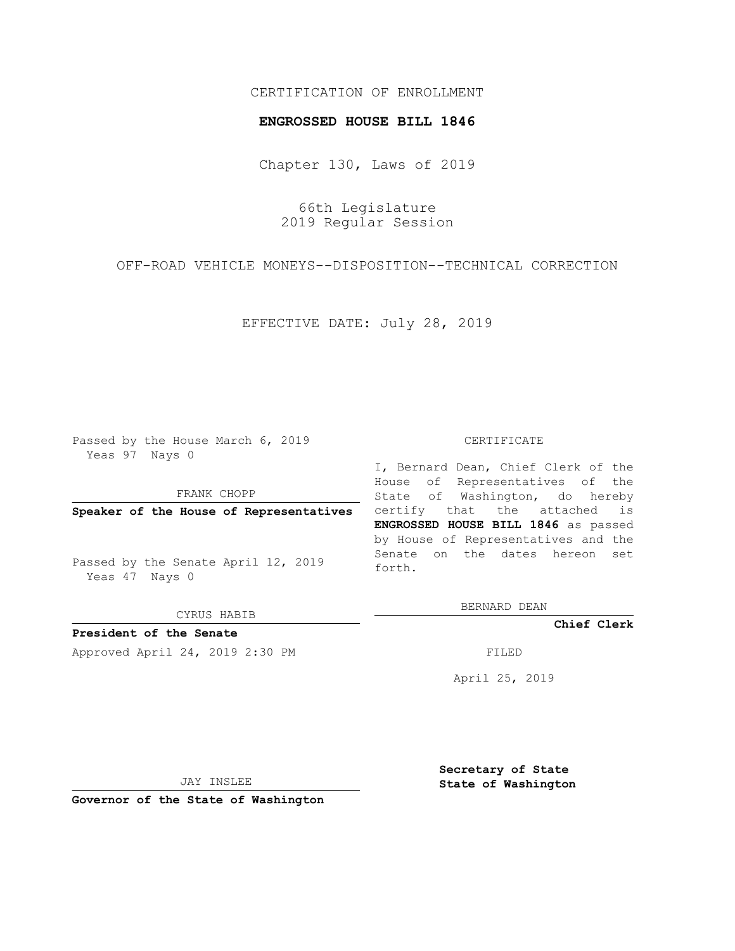## CERTIFICATION OF ENROLLMENT

## **ENGROSSED HOUSE BILL 1846**

Chapter 130, Laws of 2019

66th Legislature 2019 Regular Session

OFF-ROAD VEHICLE MONEYS--DISPOSITION--TECHNICAL CORRECTION

EFFECTIVE DATE: July 28, 2019

Passed by the House March 6, 2019 Yeas 97 Nays 0

FRANK CHOPP

**Speaker of the House of Representatives**

Passed by the Senate April 12, 2019 Yeas 47 Nays 0

CYRUS HABIB

**President of the Senate**

Approved April 24, 2019 2:30 PM FILED

## CERTIFICATE

I, Bernard Dean, Chief Clerk of the House of Representatives of the State of Washington, do hereby certify that the attached is **ENGROSSED HOUSE BILL 1846** as passed by House of Representatives and the Senate on the dates hereon set forth.

BERNARD DEAN

**Chief Clerk**

April 25, 2019

JAY INSLEE

**Governor of the State of Washington**

**Secretary of State State of Washington**